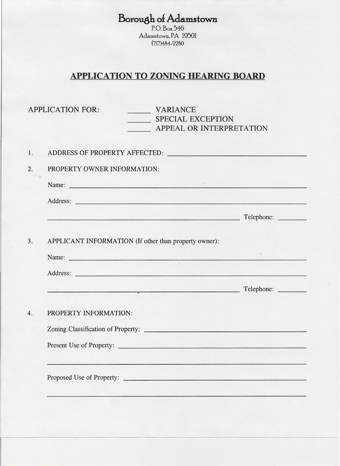**Borough** *ol* **Adamstown**

P.O. Box 546 Adamstown, PA 19501 (717)484-2280

## **APPLICATION TO ZONING HEARING BOARD**

| <b>APPLICATION FOR:</b><br><b>VARIANCE</b><br>SPECIAL EXCEPTION<br>APPEAL OR INTERPRETATION                                                                                                                                   |            |
|-------------------------------------------------------------------------------------------------------------------------------------------------------------------------------------------------------------------------------|------------|
|                                                                                                                                                                                                                               |            |
| PROPERTY OWNER INFORMATION:                                                                                                                                                                                                   |            |
| Name: Name: Name: Name: Name: Name: Name: Name: Name: Name: Name: Name: Name: Name: Name: Name: Name: Name: Name: Name: Name: Name: Name: Name: Name: Name: Name: Name: Name: Name: Name: Name: Name: Name: Name: Name: Name: |            |
|                                                                                                                                                                                                                               |            |
|                                                                                                                                                                                                                               | Telephone: |
| APPLICANT INFORMATION (If other than property owner):<br>Name: Name:                                                                                                                                                          |            |
|                                                                                                                                                                                                                               |            |
| PROPERTY INFORMATION:<br>Present Use of Property:                                                                                                                                                                             |            |
|                                                                                                                                                                                                                               |            |
| Proposed Use of Property:                                                                                                                                                                                                     |            |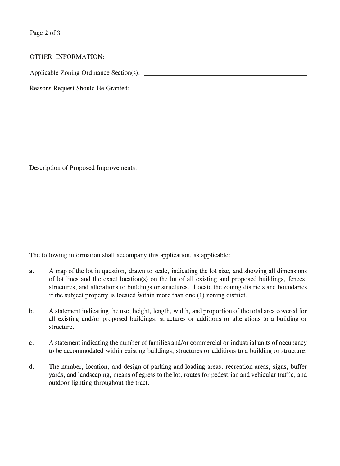Page 2 of 3

## OTHER INFORMATION:

Applicable Zoning Ordinance Section(s):

Reasons Request Should Be Granted:

Description of Proposed Improvements:

The following information shall accompany this application, as applicable:

- a. A map of the lot in question, drawn to scale, indicating the lot size, and showing all dimensions of lot lines and the exact location(s) on the lot of all existing and proposed buildings, fences, structures, and alterations to buildings or structures. Locate the zoning districts and boundaries if the subject property is located within more than one (1) zoning district.
- b. A statement indicating the use, height, length, width, and proportion of the total area covered for all existing and/or proposed buildings, structures or additions or alterations to a building or structure.
- c. A statement indicating the number of families and/or commercial or industrial units of occupancy to be accommodated within existing buildings, structures or additions to a building or structure.
- d. The number, location, and design of parking and loading areas, recreation areas, signs, buffer yards, and landscaping, means of egress to the lot, routes for pedestrian and vehicular traffic, and outdoor lighting throughout the tract.